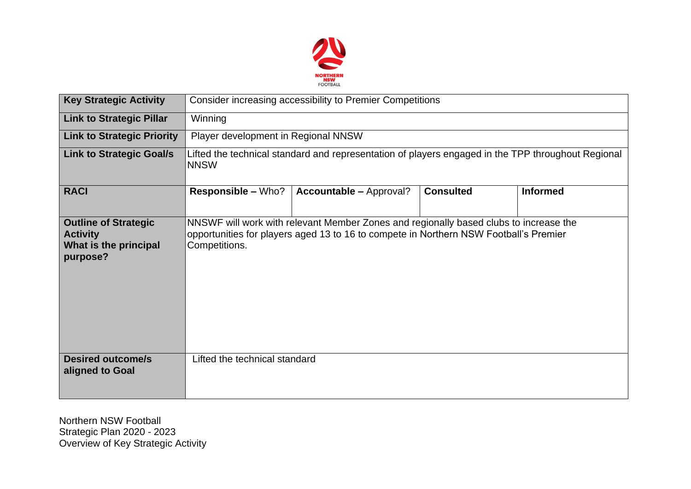

| <b>Key Strategic Activity</b>                                                       | Consider increasing accessibility to Premier Competitions                                                                                                                                       |                                |                  |                 |  |  |  |  |
|-------------------------------------------------------------------------------------|-------------------------------------------------------------------------------------------------------------------------------------------------------------------------------------------------|--------------------------------|------------------|-----------------|--|--|--|--|
| <b>Link to Strategic Pillar</b>                                                     | Winning                                                                                                                                                                                         |                                |                  |                 |  |  |  |  |
| <b>Link to Strategic Priority</b>                                                   | Player development in Regional NNSW                                                                                                                                                             |                                |                  |                 |  |  |  |  |
| <b>Link to Strategic Goal/s</b>                                                     | Lifted the technical standard and representation of players engaged in the TPP throughout Regional<br><b>NNSW</b>                                                                               |                                |                  |                 |  |  |  |  |
| <b>RACI</b>                                                                         | <b>Responsible - Who?</b>                                                                                                                                                                       | <b>Accountable - Approval?</b> | <b>Consulted</b> | <b>Informed</b> |  |  |  |  |
| <b>Outline of Strategic</b><br><b>Activity</b><br>What is the principal<br>purpose? | NNSWF will work with relevant Member Zones and regionally based clubs to increase the<br>opportunities for players aged 13 to 16 to compete in Northern NSW Football's Premier<br>Competitions. |                                |                  |                 |  |  |  |  |
| <b>Desired outcome/s</b><br>aligned to Goal                                         | Lifted the technical standard                                                                                                                                                                   |                                |                  |                 |  |  |  |  |

Northern NSW Football Strategic Plan 2020 - 2023 Overview of Key Strategic Activity